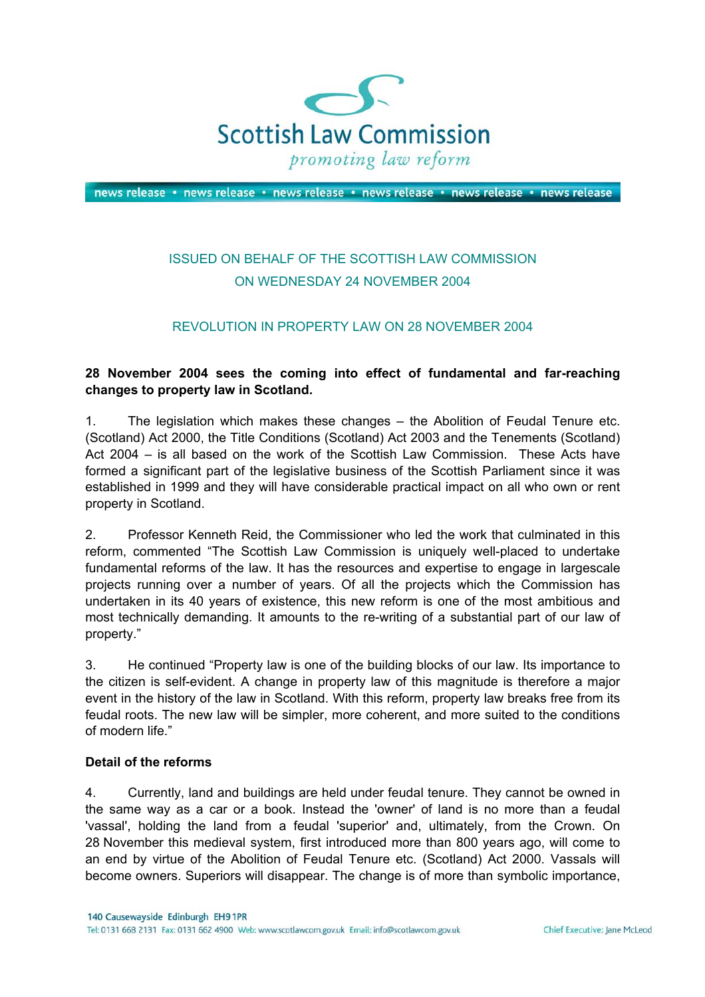

news release · news release · news release · news release · news release · news release

# ISSUED ON BEHALF OF THE SCOTTISH LAW COMMISSION ON WEDNESDAY 24 NOVEMBER 2004

### REVOLUTION IN PROPERTY LAW ON 28 NOVEMBER 2004

#### **28 November 2004 sees the coming into effect of fundamental and far-reaching changes to property law in Scotland.**

1. The legislation which makes these changes – the Abolition of Feudal Tenure etc. (Scotland) Act 2000, the Title Conditions (Scotland) Act 2003 and the Tenements (Scotland) Act 2004 – is all based on the work of the Scottish Law Commission. These Acts have formed a significant part of the legislative business of the Scottish Parliament since it was established in 1999 and they will have considerable practical impact on all who own or rent property in Scotland.

2. Professor Kenneth Reid, the Commissioner who led the work that culminated in this reform, commented "The Scottish Law Commission is uniquely well-placed to undertake fundamental reforms of the law. It has the resources and expertise to engage in largescale projects running over a number of years. Of all the projects which the Commission has undertaken in its 40 years of existence, this new reform is one of the most ambitious and most technically demanding. It amounts to the re-writing of a substantial part of our law of property."

3. He continued "Property law is one of the building blocks of our law. Its importance to the citizen is self-evident. A change in property law of this magnitude is therefore a major event in the history of the law in Scotland. With this reform, property law breaks free from its feudal roots. The new law will be simpler, more coherent, and more suited to the conditions of modern life."

#### **Detail of the reforms**

4. Currently, land and buildings are held under feudal tenure. They cannot be owned in the same way as a car or a book. Instead the 'owner' of land is no more than a feudal 'vassal', holding the land from a feudal 'superior' and, ultimately, from the Crown. On 28 November this medieval system, first introduced more than 800 years ago, will come to an end by virtue of the Abolition of Feudal Tenure etc. (Scotland) Act 2000. Vassals will become owners. Superiors will disappear. The change is of more than symbolic importance,

140 Causewayside Edinburgh EH9 1PR Tel: 0131 668 2131 Fax: 0131 662 4900 Web: www.scotlawcom.gov.uk Email: info@scotlawcom.gov.uk